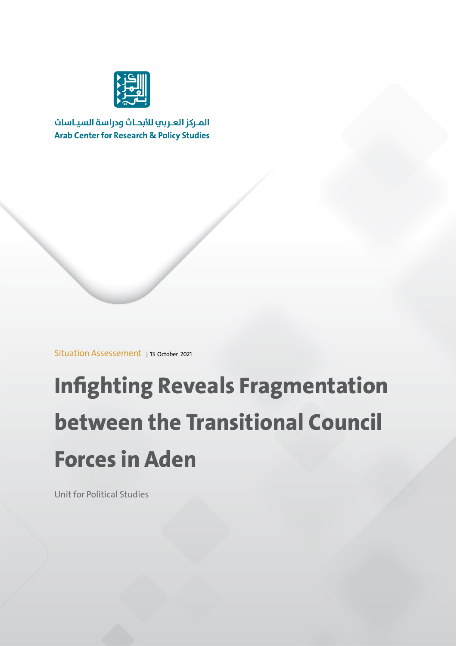

المركز العربي للأبحاث ودراسة السياسات **Arab Center for Research & Policy Studies** 

Situation Assessement | 13 October 2021

# **Infighting Reveals Fragmentation between the Transitional Council Forces in Aden**

Unit for Political Studies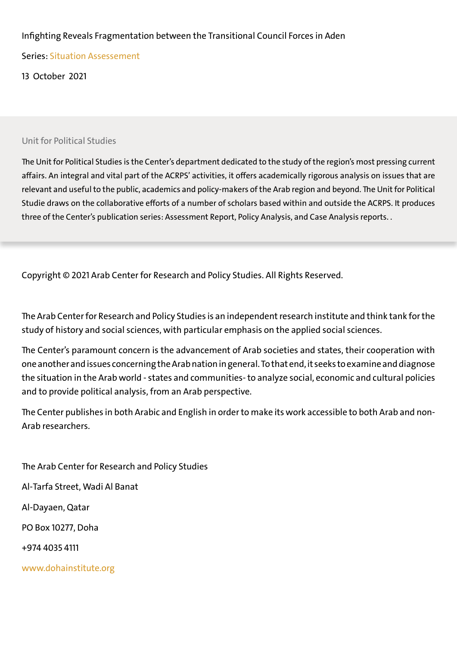### Infighting Reveals Fragmentation between the Transitional Council Forces in Aden

Series: Situation Assessement

13 October 2021

#### Unit for Political Studies

The Unit for Political Studies is the Center's department dedicated to the study of the region's most pressing current affairs. An integral and vital part of the ACRPS' activities, it offers academically rigorous analysis on issues that are relevant and useful to the public, academics and policy-makers of the Arab region and beyond. The Unit for Political Studie draws on the collaborative efforts of a number of scholars based within and outside the ACRPS. It produces three of the Center's publication series: Assessment Report, Policy Analysis, and Case Analysis reports. .

Copyright © 2021 Arab Center for Research and Policy Studies. All Rights Reserved.

The Arab Center for Research and Policy Studies is an independent research institute and think tank for the study of history and social sciences, with particular emphasis on the applied social sciences.

The Center's paramount concern is the advancement of Arab societies and states, their cooperation with one another and issues concerning the Arab nation in general. To that end, it seeks to examine and diagnose the situation in the Arab world - states and communities- to analyze social, economic and cultural policies and to provide political analysis, from an Arab perspective.

The Center publishes in both Arabic and English in order to make its work accessible to both Arab and non- Arab researchers.

The Arab Center for Research and Policy Studies Al-Tarfa Street, Wadi Al Banat Al-Dayaen, Qatar PO Box 10277, Doha +974 4035 4111 www.dohainstitute.org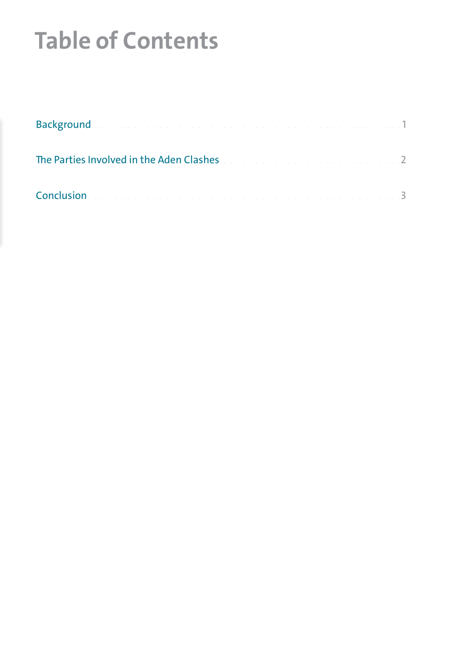## **Table of Contents**

| Background with the continuum continuum continuum continuum continuum                                                                |  |
|--------------------------------------------------------------------------------------------------------------------------------------|--|
| The Parties Involved in the Aden Clashes and a construction of the Parties Involved                                                  |  |
| Conclusion<br><u>. In the second contract of the second contract of the second contract of the second contract of the second con</u> |  |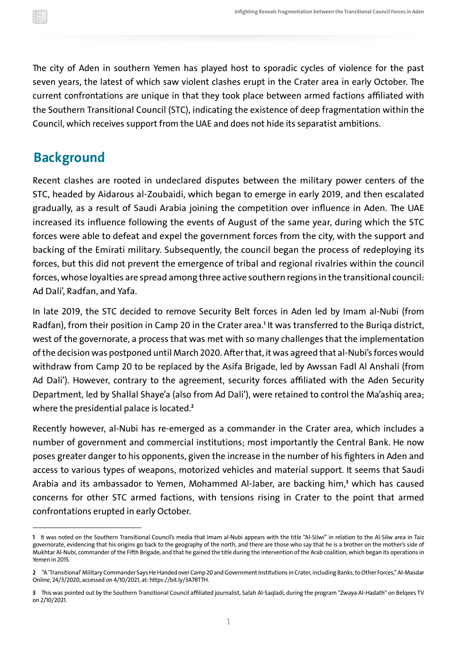<span id="page-3-0"></span>The city of Aden in southern Yemen has played host to sporadic cycles of violence for the past seven years, the latest of which saw violent clashes erupt in the Crater area in early October. The current confrontations are unique in that they took place between armed factions affiliated with the Southern Transitional Council (STC), indicating the existence of deep fragmentation within the Council, which receives support from the UAE and does not hide its separatist ambitions.

### **Background**

Recent clashes are rooted in undeclared disputes between the military power centers of the STC, headed by Aidarous al-Zoubaidi, which began to emerge in early 2019, and then escalated gradually, as a result of Saudi Arabia joining the competition over influence in Aden. The UAE increased its influence following the events of August of the same year, during which the STC forces were able to defeat and expel the government forces from the city, with the support and backing of the Emirati military. Subsequently, the council began the process of redeploying its forces, but this did not prevent the emergence of tribal and regional rivalries within the council forces, whose loyalties are spread among three active southern regions in the transitional council: Ad Dali', Radfan, and Yafa.

In late 2019, the STC decided to remove Security Belt forces in Aden led by Imam al-Nubi (from Radfan), from their position in Camp 20 in the Crater area. **<sup>1</sup>** It was transferred to the Buriqa district, west of the governorate, a process that was met with so many challenges that the implementation of the decision was postponed until March 2020. After that, it was agreed that al-Nubi's forces would withdraw from Camp 20 to be replaced by the Asifa Brigade, led by Awssan Fadl Al Anshali (from Ad Dali'). However, contrary to the agreement, security forces affiliated with the Aden Security Department, led by Shallal Shaye'a (also from Ad Dali'), were retained to control the Ma'ashiq area; where the presidential palace is located. **2**

Recently however, al-Nubi has re-emerged as a commander in the Crater area, which includes a number of government and commercial institutions; most importantly the Central Bank. He now poses greater danger to his opponents, given the increase in the number of his fighters in Aden and access to various types of weapons, motorized vehicles and material support. It seems that Saudi Arabia and its ambassador to Yemen, Mohammed Al-Jaber, are backing him,<sup>3</sup> w concerns for other STC armed factions, with tensions rising in Crater to the point that armed confrontations erupted in early October.

**<sup>1</sup>** It was noted on the Southern Transitional Council's media that Imam al-Nubi appears with the title "Al-Silwi" in relation to the Al-Silw area in Taiz governorate, evidencing that his origins go back to the geography of the north, and there are those who say that he is a brother on the mother's side of Mukhtar Al-Nubi, commander of the Fifth Brigade, and that he gained the title during the intervention of the Arab coalition, which began its operations in Yemen in 2015.

**<sup>2</sup>** "A 'Transitional'Military Commander Says He Handed over Camp 20 and Government Institutions in Crater, including Banks, to Other Forces," Al-Masdar Online, 24/3/2020, accessed on 4/10/2021, at: [https://bit.ly/3A7BT7H.](https://bit.ly/3A7BT7H)

**<sup>3</sup>** This was pointed out by the Southern Transitional Council affiliated journalist, Salah Al-Saqladi, during the program "Zwaya Al-Hadath" on Belqees TV on 2/10/2021.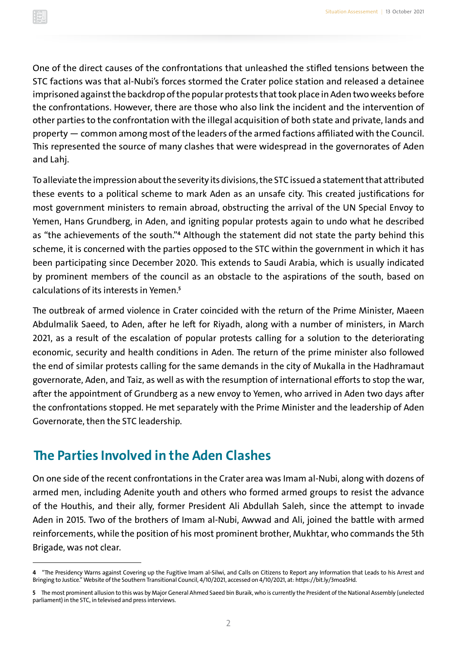<span id="page-4-0"></span>One of the direct causes of the confrontations that unleashed the stifled tensions between the STC factions was that al-Nubi's forces stormed the Crater police station and released a detainee imprisoned against the backdrop of the popular protests that took place in Aden two weeks before the confrontations. However, there are those who also link the incident and the intervention of other parties to the confrontation with the illegal acquisition of both state and private, lands and property — common among most of the leaders of the armed factions affiliated with the Council. This represented the source of many clashes that were widespread in the governorates of Aden and Lahj.

To alleviate the impression about the severity its divisions, the STC issued a statement that attributed these events to a political scheme to mark Aden as an unsafe city. This created justifications for most government ministers to remain abroad, obstructing the arrival of the UN Special Envoy to Yemen, Hans Grundberg, in Aden, and igniting popular protests again to undo what he described as "the achievements of the south."<sup>4</sup> Although the statement did not state the party behind <sup>.</sup> scheme, it is concerned with the parties opposed to the STC within the government in which it has been participating since December 2020. This extends to Saudi Arabia, which is usually indicated by prominent members of the council as an obstacle to the aspirations of the south, based on calculations of its interests in Yemen.**<sup>5</sup>**

The outbreak of armed violence in Crater coincided with the return of the Prime Minister, Maeen Abdulmalik Saeed, to Aden, after he left for Riyadh, along with a number of ministers, in March 2021, as a result of the escalation of popular protests calling for a solution to the deteriorating economic, security and health conditions in Aden. The return of the prime minister also followed the end of similar protests calling for the same demands in the city of Mukalla in the Hadhramaut governorate, Aden, and Taiz, as well as with the resumption of international efforts to stop the war, after the appointment of Grundberg as a new envoy to Yemen, who arrived in Aden two days after the confrontations stopped. He met separately with the Prime Minister and the leadership of Aden Governorate, then the STC leadership.

### **The Parties Involved in the Aden Clashes**

On one side of the recent confrontations in the Crater area was Imam al-Nubi, along with dozens of armed men, including Adenite youth and others who formed armed groups to resist the advance of the Houthis, and their ally, former President Ali Abdullah Saleh, since the attempt to invade Aden in 2015. Two of the brothers of Imam al-Nubi, Awwad and Ali, joined the battle with armed reinforcements, while the position of his most prominent brother, Mukhtar, who commands the 5th Brigade, was not clear.

**<sup>4</sup>** "The Presidency Warns against Covering up the Fugitive Imam al-Silwi, and Calls on Citizens to Report any Information that Leads to his Arrest and Bringing to Justice." Website of the Southern Transitional Council, 4/10/2021, accessed on 4/10/2021, at:<https://bit.ly/3moa5Hd>.

**<sup>5</sup>** The most prominent allusion to this was by Major General Ahmed Saeed bin Buraik, who is currently the President of the National Assembly (unelected parliament) in the STC, in televised and press interviews.